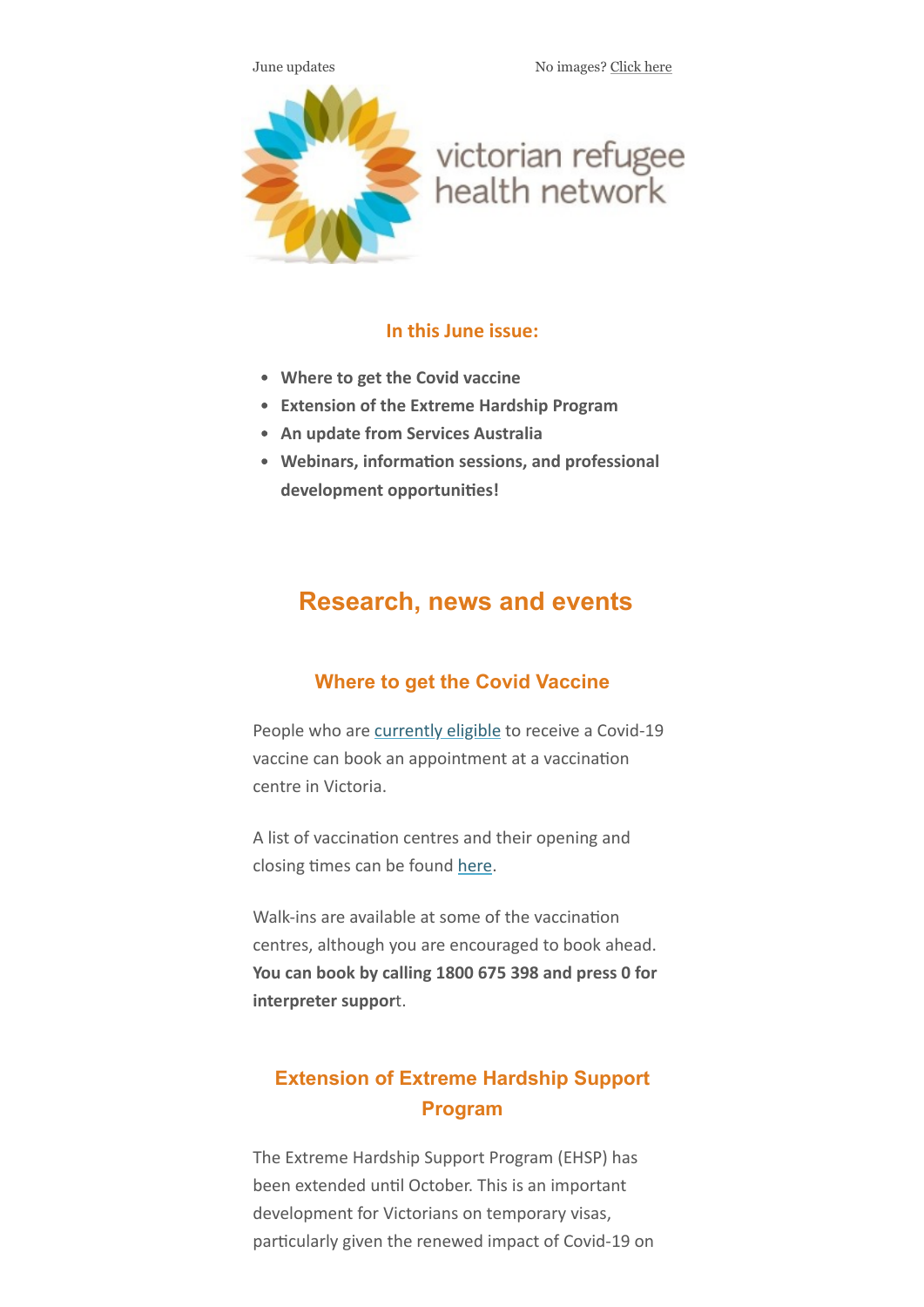June updates No images? [Click here](https://victorianrefugeehealthnetwork.createsend1.com/t/j-e-ftjurkt-ilmjddduu-b/)



# victorian refugee<br>health network

## **In this June issue:**

- **Where to get the Covid vaccine**
- **Extension of the Extreme Hardship Program**
- **An update from Services Australia**
- **Webinars, information sessions, and professional development opportunities!**

# **Research, news and events**

## **Where to get the Covid Vaccine**

People who are [currently eligible](https://victorianrefugeehealthnetwork.createsend1.com/t/j-l-ftjurkt-ilmjddduu-y/) to receive a Covid-19 vaccine can book an appointment at a vaccination centre in Victoria.

A list of vaccination centres and their opening and closing times can be found [here](https://victorianrefugeehealthnetwork.createsend1.com/t/j-l-ftjurkt-ilmjddduu-j/).

Walk-ins are available at some of the vaccination centres, although you are encouraged to book ahead. **You can book by calling 1800 675 398 and press 0 for interpreter suppor**t.

# **Extension of Extreme Hardship Support Program**

The Extreme Hardship Support Program (EHSP) has been extended until October. This is an important development for Victorians on temporary visas, particularly given the renewed impact of Covid-19 on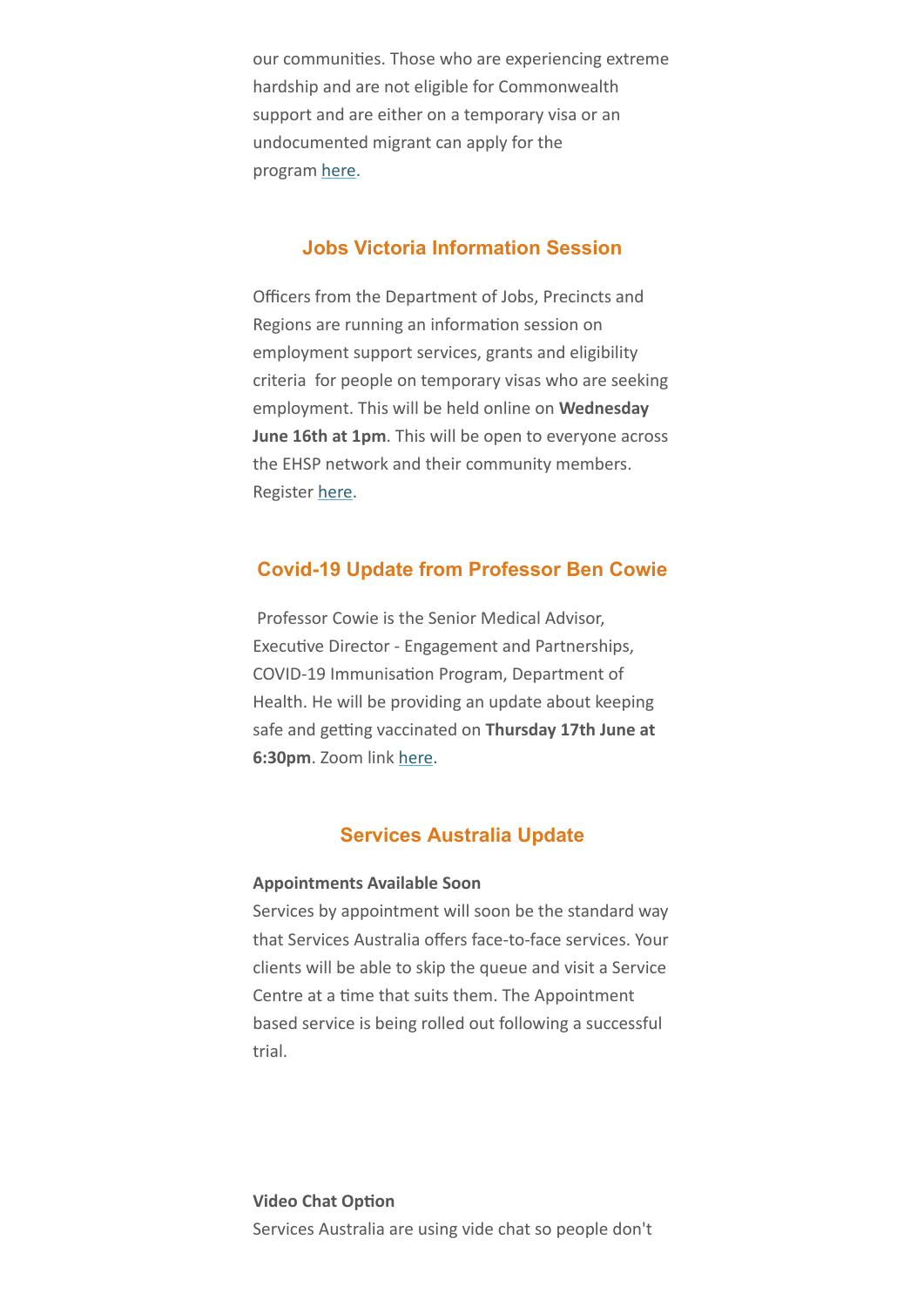our communities. Those who are experiencing extreme hardship and are not eligible for Commonwealth support and are either on a temporary visa or an undocumented migrant can apply for the program [here](https://victorianrefugeehealthnetwork.createsend1.com/t/j-l-ftjurkt-ilmjddduu-t/).

## **Jobs Victoria Information Session**

Officers from the Department of Jobs, Precincts and Regions are running an information session on employment support services, grants and eligibility criteria for people on temporary visas who are seeking employment. This will be held online on **Wednesday June 16th at 1pm**. This will be open to everyone across the EHSP network and their community members. Register [here](https://victorianrefugeehealthnetwork.createsend1.com/t/j-l-ftjurkt-ilmjddduu-i/).

### **Covid-19 Update from Professor Ben Cowie**

Professor Cowie is the Senior Medical Advisor, Executive Director - Engagement and Partnerships, COVID-19 Immunisation Program, Department of Health. He will be providing an update about keeping safe and getting vaccinated on **Thursday 17th June at 6:30pm**. Zoom link [here](https://victorianrefugeehealthnetwork.createsend1.com/t/j-l-ftjurkt-ilmjddduu-d/).

#### **Services Australia Update**

#### **Appointments Available Soon**

Services by appointment will soon be the standard way that Services Australia offers face-to-face services. Your clients will be able to skip the queue and visit a Service Centre at a time that suits them. The Appointment based service is being rolled out following a successful trial.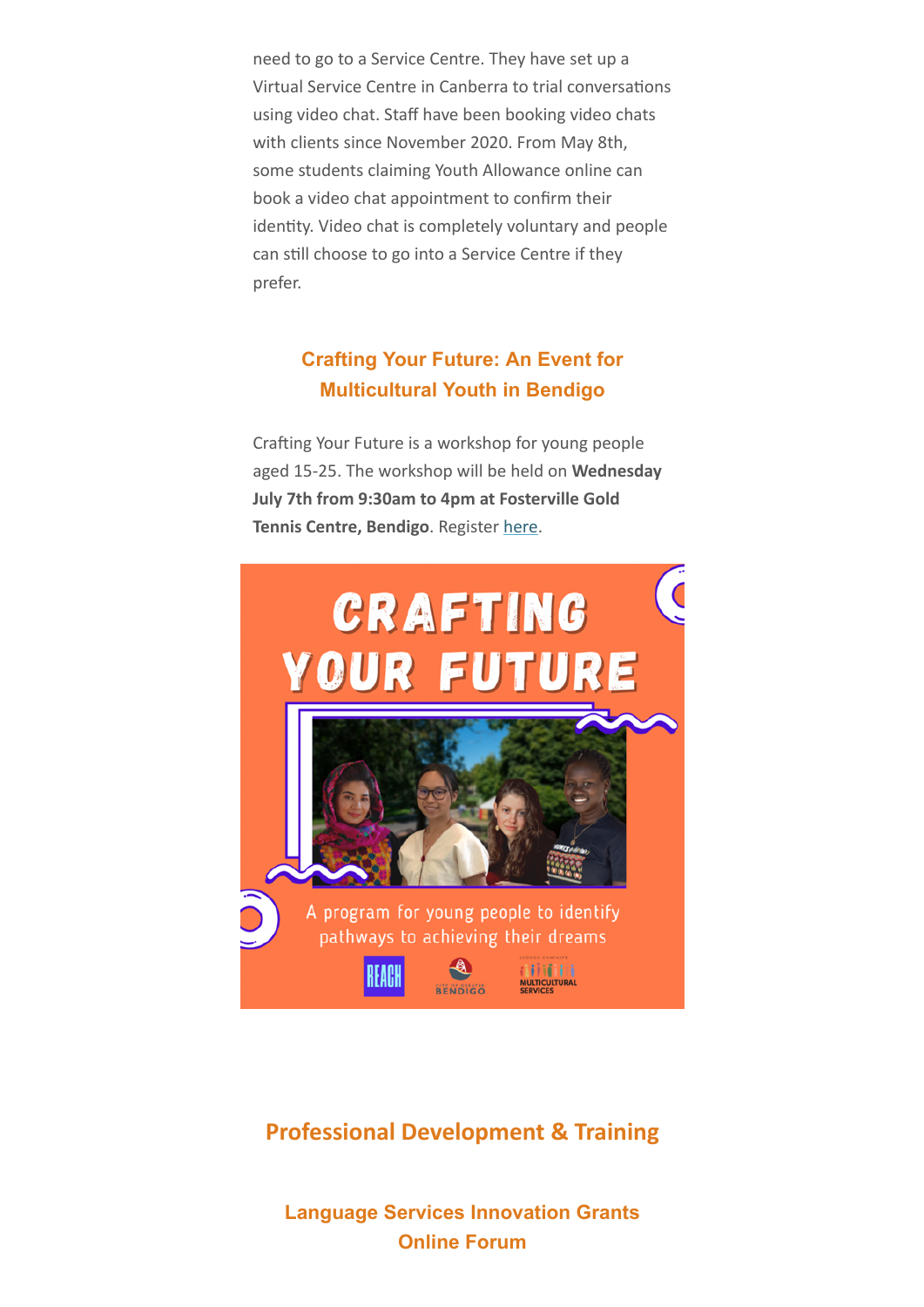need to go to a Service Centre. They have set up a Virtual Service Centre in Canberra to trial conversations using video chat. Staff have been booking video chats with clients since November 2020. From May 8th, some students claiming Youth Allowance online can book a video chat appointment to confirm their identity. Video chat is completely voluntary and people can still choose to go into a Service Centre if they prefer.

# **Crafting Your Future: An Event for Multicultural Youth in Bendigo**

Crafting Your Future is a workshop for young people aged 15-25. The workshop will be held on **Wednesday July 7th from 9:30am to 4pm at Fosterville Gold Tennis Centre, Bendigo**. Register [here](https://victorianrefugeehealthnetwork.createsend1.com/t/j-l-ftjurkt-ilmjddduu-h/).



# **Professional Development & Training**

**Language Services Innovation Grants Online Forum**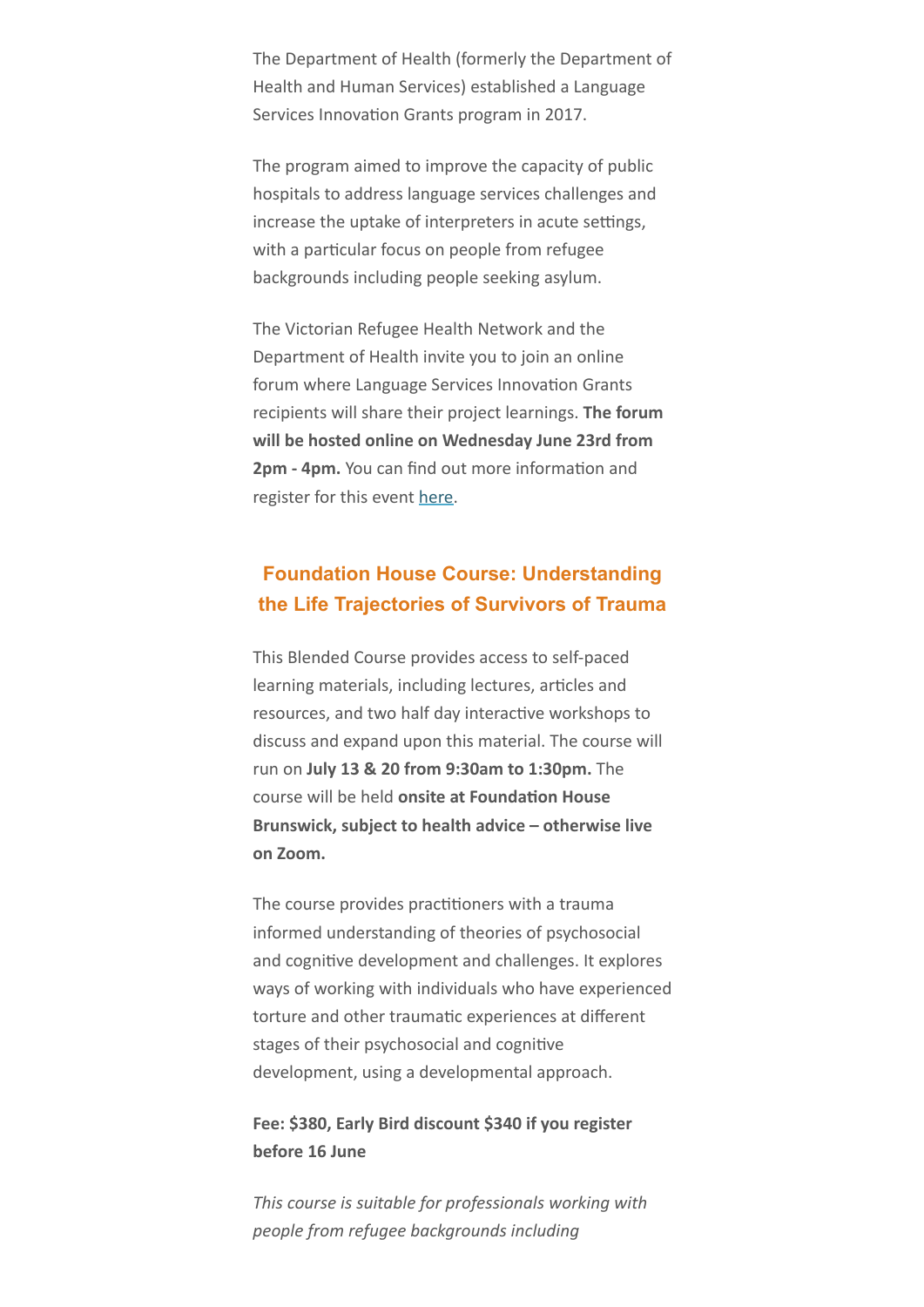The Department of Health (formerly the Department of Health and Human Services) established a Language Services Innovation Grants program in 2017.

The program aimed to improve the capacity of public hospitals to address language services challenges and increase the uptake of interpreters in acute settings, with a particular focus on people from refugee backgrounds including people seeking asylum.

The Victorian Refugee Health Network and the Department of Health invite you to join an online forum where Language Services Innovation Grants recipients will share their project learnings. **The forum will be hosted online on Wednesday June 23rd from 2pm - 4pm.** You can find out more information and register for this event [here](https://victorianrefugeehealthnetwork.createsend1.com/t/j-l-ftjurkt-ilmjddduu-k/).

# **Foundation House Course: Understanding the Life Trajectories of Survivors of Trauma**

This Blended Course provides access to self-paced learning materials, including lectures, articles and resources, and two half day interactive workshops to discuss and expand upon this material. The course will run on **July 13 & 20 from 9:30am to 1:30pm.** The course will be held **onsite at Foundation House Brunswick, subject to health advice – otherwise live on Zoom.**

The course provides practitioners with a trauma informed understanding of theories of psychosocial and cognitive development and challenges. It explores ways of working with individuals who have experienced torture and other traumatic experiences at different stages of their psychosocial and cognitive development, using a developmental approach.

## **Fee: \$380, Early Bird discount \$340 if you register before 16 June**

*This course is suitable for professionals working with people from refugee backgrounds including*